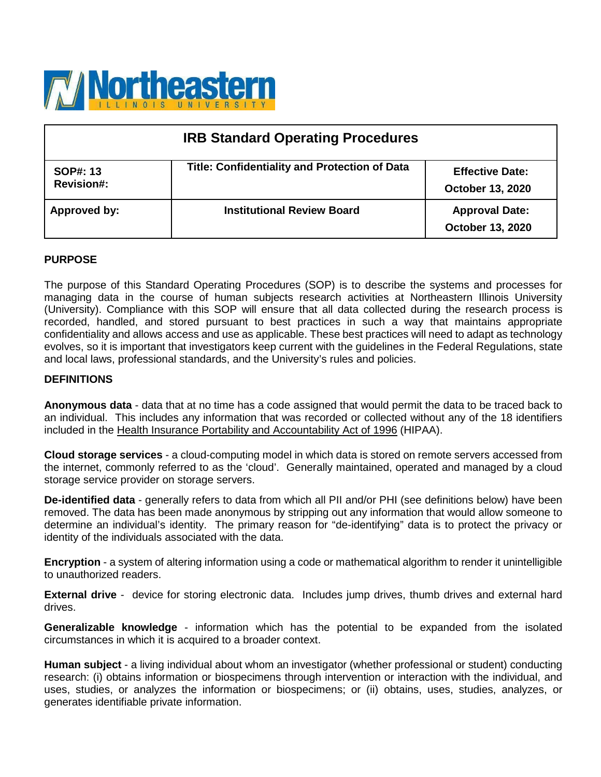

| <b>IRB Standard Operating Procedures</b> |                                                      |                                                   |  |
|------------------------------------------|------------------------------------------------------|---------------------------------------------------|--|
| SOP#: 13<br><b>Revision#:</b>            | <b>Title: Confidentiality and Protection of Data</b> | <b>Effective Date:</b><br><b>October 13, 2020</b> |  |
| Approved by:                             | <b>Institutional Review Board</b>                    | <b>Approval Date:</b><br><b>October 13, 2020</b>  |  |

## **PURPOSE**

The purpose of this Standard Operating Procedures (SOP) is to describe the systems and processes for managing data in the course of human subjects research activities at Northeastern Illinois University (University). Compliance with this SOP will ensure that all data collected during the research process is recorded, handled, and stored pursuant to best practices in such a way that maintains appropriate confidentiality and allows access and use as applicable. These best practices will need to adapt as technology evolves, so it is important that investigators keep current with the guidelines in the Federal Regulations, state and local laws, professional standards, and the University's rules and policies.

#### **DEFINITIONS**

**Anonymous data** - data that at no time has a code assigned that would permit the data to be traced back to an individual. This includes any information that was recorded or collected without any of the 18 identifiers included in the [Health Insurance Portability and Accountability Act of 1996](https://www.hhs.gov/hipaa/for-professionals/privacy/index.html) (HIPAA).

**Cloud storage services** - a cloud-computing model in which data is stored on remote servers accessed from the internet, commonly referred to as the 'cloud'. Generally maintained, operated and managed by a cloud storage service provider on storage servers.

**De-identified data** - generally refers to data from which all PII and/or PHI (see definitions below) have been removed. The data has been made anonymous by stripping out any information that would allow someone to determine an individual's identity. The primary reason for "de-identifying" data is to protect the privacy or identity of the individuals associated with the data.

**Encryption** - a system of altering information using a code or mathematical algorithm to render it unintelligible to unauthorized readers.

**External drive** - device for storing electronic data. Includes jump drives, thumb drives and external hard drives.

**Generalizable knowledge** - information which has the potential to be expanded from the isolated circumstances in which it is acquired to a broader context.

**Human subject** - a living individual about whom an investigator (whether professional or student) conducting research: (i) obtains information or biospecimens through intervention or interaction with the individual, and uses, studies, or analyzes the information or biospecimens; or (ii) obtains, uses, studies, analyzes, or generates identifiable private information.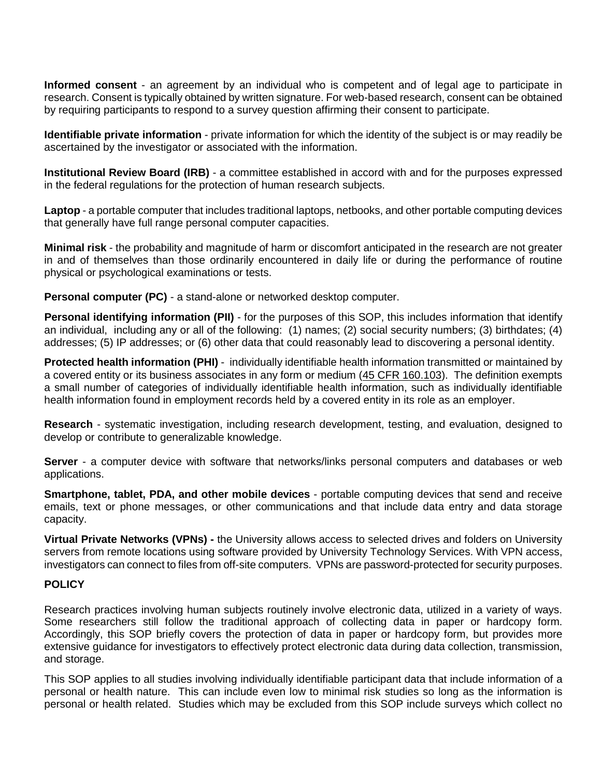**Informed consent** - an agreement by an individual who is competent and of legal age to participate in research. Consent is typically obtained by written signature. For web-based research, consent can be obtained by requiring participants to respond to a survey question affirming their consent to participate.

**Identifiable private information** - private information for which the identity of the subject is or may readily be ascertained by the investigator or associated with the information.

**Institutional Review Board (IRB)** - a committee established in accord with and for the purposes expressed in the federal regulations for the protection of human research subjects.

**Laptop** - a portable computer that includes traditional laptops, netbooks, and other portable computing devices that generally have full range personal computer capacities.

**Minimal risk** - the probability and magnitude of harm or discomfort anticipated in the research are not greater in and of themselves than those ordinarily encountered in daily life or during the performance of routine physical or psychological examinations or tests.

**Personal computer (PC)** - a stand-alone or networked desktop computer.

**Personal identifying information (PII)** - for the purposes of this SOP, this includes information that identify an individual, including any or all of the following: (1) names; (2) social security numbers; (3) birthdates; (4) addresses; (5) IP addresses; or (6) other data that could reasonably lead to discovering a personal identity.

**Protected health information (PHI)** - individually identifiable health information transmitted or maintained by a covered entity or its business associates in any form or medium [\(45 CFR 160.103\)](https://www.govinfo.gov/content/pkg/CFR-2013-title45-vol1/pdf/CFR-2013-title45-vol1-sec160-103.pdf). The definition exempts a small number of categories of individually identifiable health information, such as individually identifiable health information found in employment records held by a covered entity in its role as an employer.

**Research** - systematic investigation, including research development, testing, and evaluation, designed to develop or contribute to generalizable knowledge.

**Server** - a computer device with software that networks/links personal computers and databases or web applications.

**Smartphone, tablet, PDA, and other mobile devices** - portable computing devices that send and receive emails, text or phone messages, or other communications and that include data entry and data storage capacity.

**Virtual Private Networks (VPNs) -** the University allows access to selected drives and folders on University servers from remote locations using software provided by University Technology Services. With VPN access, investigators can connect to files from off-site computers. VPNs are password-protected for security purposes.

## **POLICY**

Research practices involving human subjects routinely involve electronic data, utilized in a variety of ways. Some researchers still follow the traditional approach of collecting data in paper or hardcopy form. Accordingly, this SOP briefly covers the protection of data in paper or hardcopy form, but provides more extensive guidance for investigators to effectively protect electronic data during data collection, transmission, and storage.

This SOP applies to all studies involving individually identifiable participant data that include information of a personal or health nature. This can include even low to minimal risk studies so long as the information is personal or health related.Studies which may be excluded from this SOP include surveys which collect no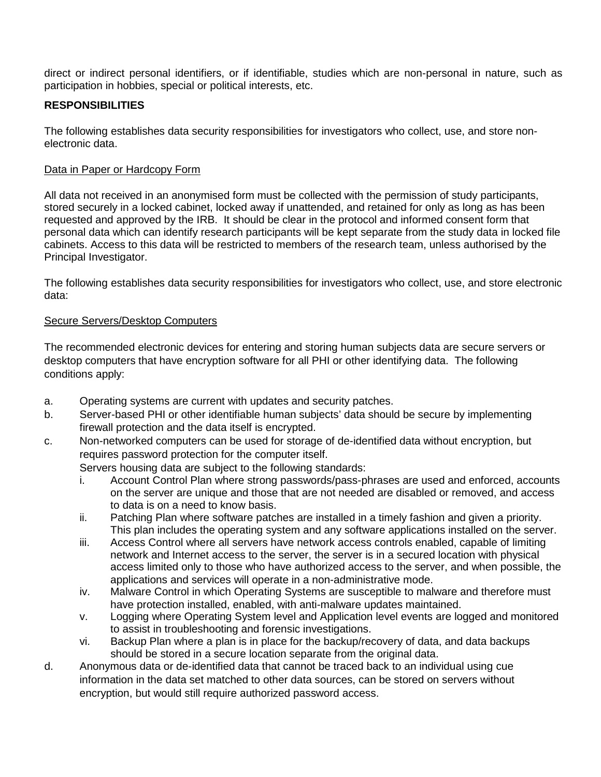direct or indirect personal identifiers, or if identifiable, studies which are non-personal in nature, such as participation in hobbies, special or political interests, etc.

# **RESPONSIBILITIES**

The following establishes data security responsibilities for investigators who collect, use, and store nonelectronic data.

## Data in Paper or Hardcopy Form

All data not received in an anonymised form must be collected with the permission of study participants, stored securely in a locked cabinet, locked away if unattended, and retained for only as long as has been requested and approved by the IRB. It should be clear in the protocol and informed consent form that personal data which can identify research participants will be kept separate from the study data in locked file cabinets. Access to this data will be restricted to members of the research team, unless authorised by the Principal Investigator.

The following establishes data security responsibilities for investigators who collect, use, and store electronic data:

#### Secure Servers/Desktop Computers

The recommended electronic devices for entering and storing human subjects data are secure servers or desktop computers that have encryption software for all PHI or other identifying data. The following conditions apply:

- a. Operating systems are current with updates and security patches.
- b. Server-based PHI or other identifiable human subjects' data should be secure by implementing firewall protection and the data itself is encrypted.
- c. Non-networked computers can be used for storage of de-identified data without encryption, but requires password protection for the computer itself.

Servers housing data are subject to the following standards:

- i. Account Control Plan where strong passwords/pass-phrases are used and enforced, accounts on the server are unique and those that are not needed are disabled or removed, and access to data is on a need to know basis.
- ii. Patching Plan where software patches are installed in a timely fashion and given a priority. This plan includes the operating system and any software applications installed on the server.
- iii. Access Control where all servers have network access controls enabled, capable of limiting network and Internet access to the server, the server is in a secured location with physical access limited only to those who have authorized access to the server, and when possible, the applications and services will operate in a non-administrative mode.
- iv. Malware Control in which Operating Systems are susceptible to malware and therefore must have protection installed, enabled, with anti-malware updates maintained.
- v. Logging where Operating System level and Application level events are logged and monitored to assist in troubleshooting and forensic investigations.
- vi. Backup Plan where a plan is in place for the backup/recovery of data, and data backups should be stored in a secure location separate from the original data.
- d. Anonymous data or de-identified data that cannot be traced back to an individual using cue information in the data set matched to other data sources, can be stored on servers without encryption, but would still require authorized password access.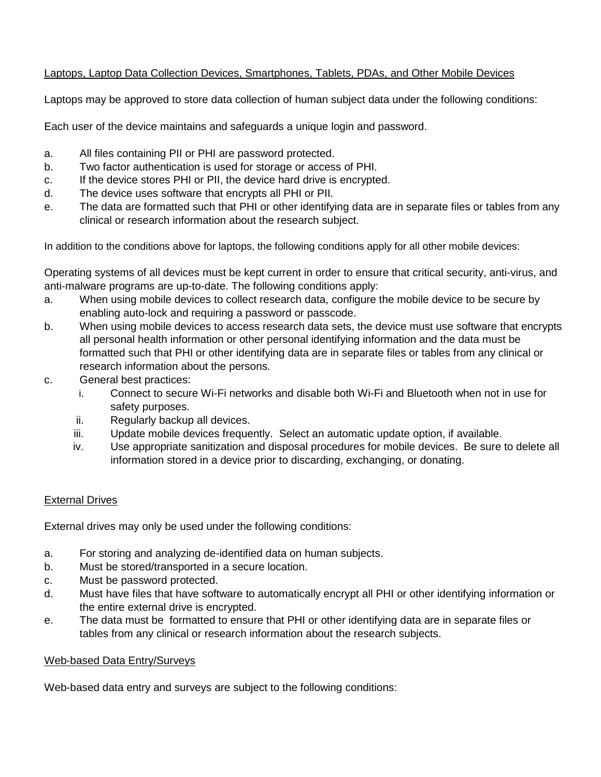# Laptops, Laptop Data Collection Devices, Smartphones, Tablets, PDAs, and Other Mobile Devices

Laptops may be approved to store data collection of human subject data under the following conditions:

Each user of the device maintains and safeguards a unique login and password.

- a. All files containing PII or PHI are password protected.
- b. Two factor authentication is used for storage or access of PHI.
- c. If the device stores PHI or PII, the device hard drive is encrypted.
- d. The device uses software that encrypts all PHI or PII.
- e. The data are formatted such that PHI or other identifying data are in separate files or tables from any clinical or research information about the research subject.

In addition to the conditions above for laptops, the following conditions apply for all other mobile devices:

Operating systems of all devices must be kept current in order to ensure that critical security, anti-virus, and anti-malware programs are up-to-date. The following conditions apply:

- a. When using mobile devices to collect research data, configure the mobile device to be secure by enabling auto-lock and requiring a password or passcode.
- b. When using mobile devices to access research data sets, the device must use software that encrypts all personal health information or other personal identifying information and the data must be formatted such that PHI or other identifying data are in separate files or tables from any clinical or research information about the persons.
- c. General best practices:
	- i. Connect to secure Wi-Fi networks and disable both Wi-Fi and Bluetooth when not in use for safety purposes.
	- ii. Regularly backup all devices.
	- iii. Update mobile devices frequently. Select an automatic update option, if available.
	- iv. Use appropriate sanitization and disposal procedures for mobile devices. Be sure to delete all information stored in a device prior to discarding, exchanging, or donating.

## External Drives

External drives may only be used under the following conditions:

- a. For storing and analyzing de-identified data on human subjects.
- b. Must be stored/transported in a secure location.
- c. Must be password protected.
- d. Must have files that have software to automatically encrypt all PHI or other identifying information or the entire external drive is encrypted.
- e. The data must be formatted to ensure that PHI or other identifying data are in separate files or tables from any clinical or research information about the research subjects.

## Web-based Data Entry/Surveys

Web-based data entry and surveys are subject to the following conditions: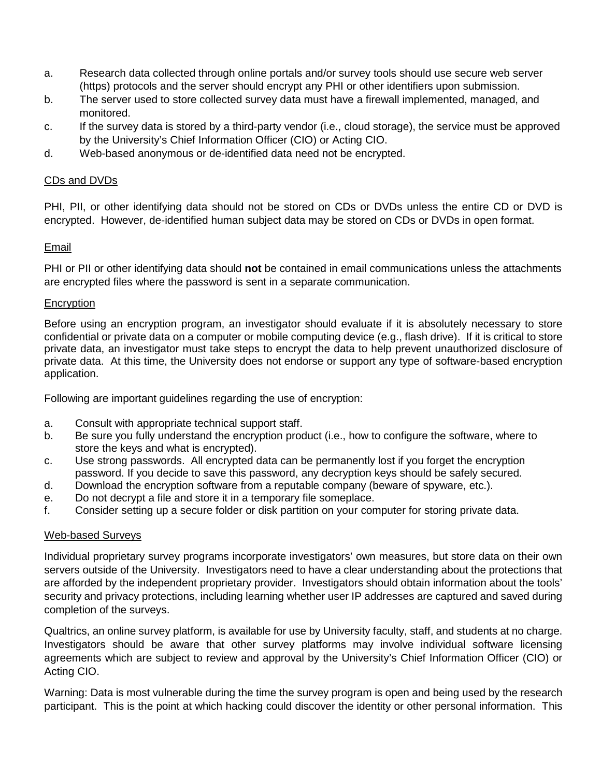- a. Research data collected through online portals and/or survey tools should use secure web server (https) protocols and the server should encrypt any PHI or other identifiers upon submission.
- b. The server used to store collected survey data must have a firewall implemented, managed, and monitored.
- c. If the survey data is stored by a third-party vendor (i.e., cloud storage), the service must be approved by the University's Chief Information Officer (CIO) or Acting CIO.
- d. Web-based anonymous or de-identified data need not be encrypted.

## CDs and DVDs

PHI, PII, or other identifying data should not be stored on CDs or DVDs unless the entire CD or DVD is encrypted. However, de-identified human subject data may be stored on CDs or DVDs in open format.

# Email

PHI or PII or other identifying data should **not** be contained in email communications unless the attachments are encrypted files where the password is sent in a separate communication.

## **Encryption**

Before using an encryption program, an investigator should evaluate if it is absolutely necessary to store confidential or private data on a computer or mobile computing device (e.g., flash drive). If it is critical to store private data, an investigator must take steps to encrypt the data to help prevent unauthorized disclosure of private data. At this time, the University does not endorse or support any type of software-based encryption application.

Following are important guidelines regarding the use of encryption:

- a. Consult with appropriate technical support staff.
- b. Be sure you fully understand the encryption product (i.e., how to configure the software, where to store the keys and what is encrypted).
- c. Use strong passwords. All encrypted data can be permanently lost if you forget the encryption password. If you decide to save this password, any decryption keys should be safely secured.
- d. Download the encryption software from a reputable company (beware of spyware, etc.).
- e. Do not decrypt a file and store it in a temporary file someplace.
- f. Consider setting up a secure folder or disk partition on your computer for storing private data.

## Web-based Surveys

Individual proprietary survey programs incorporate investigators' own measures, but store data on their own servers outside of the University. Investigators need to have a clear understanding about the protections that are afforded by the independent proprietary provider. Investigators should obtain information about the tools' security and privacy protections, including learning whether user IP addresses are captured and saved during completion of the surveys.

Qualtrics, an online survey platform, is available for use by University faculty, staff, and students at no charge. Investigators should be aware that other survey platforms may involve individual software licensing agreements which are subject to review and approval by the University's Chief Information Officer (CIO) or Acting CIO.

Warning: Data is most vulnerable during the time the survey program is open and being used by the research participant. This is the point at which hacking could discover the identity or other personal information. This